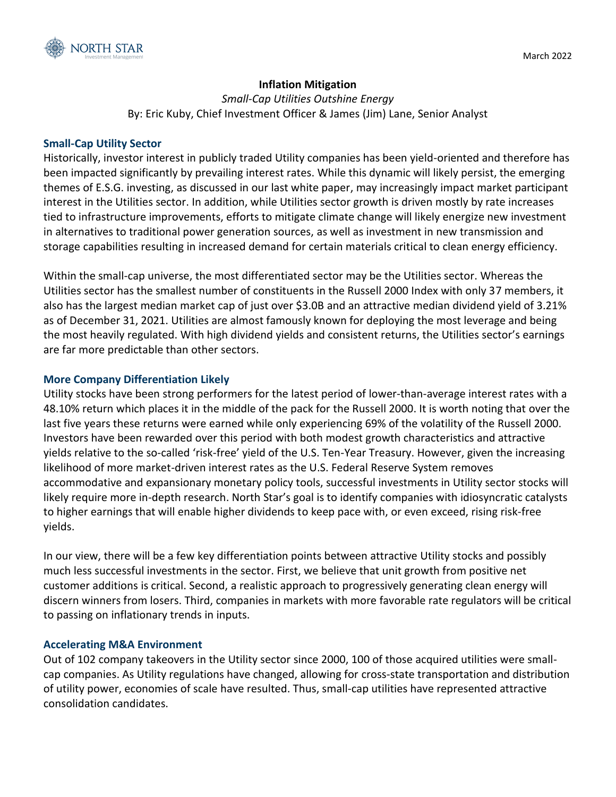

*Small-Cap Utilities Outshine Energy* By: Eric Kuby, Chief Investment Officer & James (Jim) Lane, Senior Analyst

# **Small-Cap Utility Sector**

Historically, investor interest in publicly traded Utility companies has been yield-oriented and therefore has been impacted significantly by prevailing interest rates. While this dynamic will likely persist, the emerging themes of E.S.G. investing, as discussed in our last white paper, may increasingly impact market participant interest in the Utilities sector. In addition, while Utilities sector growth is driven mostly by rate increases tied to infrastructure improvements, efforts to mitigate climate change will likely energize new investment in alternatives to traditional power generation sources, as well as investment in new transmission and storage capabilities resulting in increased demand for certain materials critical to clean energy efficiency.

Within the small-cap universe, the most differentiated sector may be the Utilities sector. Whereas the Utilities sector has the smallest number of constituents in the Russell 2000 Index with only 37 members, it also has the largest median market cap of just over \$3.0B and an attractive median dividend yield of 3.21% as of December 31, 2021. Utilities are almost famously known for deploying the most leverage and being the most heavily regulated. With high dividend yields and consistent returns, the Utilities sector's earnings are far more predictable than other sectors.

# **More Company Differentiation Likely**

Utility stocks have been strong performers for the latest period of lower-than-average interest rates with a 48.10% return which places it in the middle of the pack for the Russell 2000. It is worth noting that over the last five years these returns were earned while only experiencing 69% of the volatility of the Russell 2000. Investors have been rewarded over this period with both modest growth characteristics and attractive yields relative to the so-called 'risk-free' yield of the U.S. Ten-Year Treasury. However, given the increasing likelihood of more market-driven interest rates as the U.S. Federal Reserve System removes accommodative and expansionary monetary policy tools, successful investments in Utility sector stocks will likely require more in-depth research. North Star's goal is to identify companies with idiosyncratic catalysts to higher earnings that will enable higher dividends to keep pace with, or even exceed, rising risk-free yields.

In our view, there will be a few key differentiation points between attractive Utility stocks and possibly much less successful investments in the sector. First, we believe that unit growth from positive net customer additions is critical. Second, a realistic approach to progressively generating clean energy will discern winners from losers. Third, companies in markets with more favorable rate regulators will be critical to passing on inflationary trends in inputs.

# **Accelerating M&A Environment**

Out of 102 company takeovers in the Utility sector since 2000, 100 of those acquired utilities were smallcap companies. As Utility regulations have changed, allowing for cross-state transportation and distribution of utility power, economies of scale have resulted. Thus, small-cap utilities have represented attractive consolidation candidates.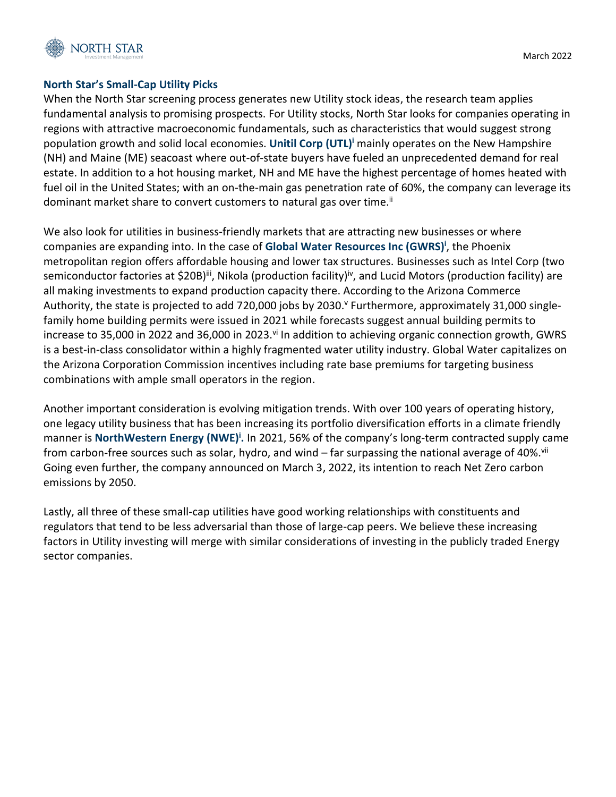

## **North Star's Small-Cap Utility Picks**

When the North Star screening process generates new Utility stock ideas, the research team applies fundamental analysis to promising prospects. For Utility stocks, North Star looks for companies operating in regions with attractive macroeconomic fundamentals, such as characteristics that would suggest strong population growth and solid local economies. **Unitil Corp (UTL)<sup>i</sup>** mainly operates on the New Hampshire (NH) and Maine (ME) seacoast where out-of-state buyers have fueled an unprecedented demand for real estate. In addition to a hot housing market, NH and ME have the highest percentage of homes heated with fuel oil in the United States; with an on-the-main gas penetration rate of 60%, the company can leverage its dominant market share to convert customers to natural gas over time.<sup>ii</sup>

We also look for utilities in business-friendly markets that are attracting new businesses or where companies are expanding into. In the case of **Global Water Resources Inc (GWRS)<sup>i</sup>** , the Phoenix metropolitan region offers affordable housing and lower tax structures. Businesses such as Intel Corp (two semiconductor factories at \$20B)<sup>iii</sup>, Nikola (production facility)<sup>iv</sup>, and Lucid Motors (production facility) are all making investments to expand production capacity there. According to the Arizona Commerce Authority, the state is projected to add 720,000 jobs by 2030.<sup>v</sup> Furthermore, approximately 31,000 singlefamily home building permits were issued in 2021 while forecasts suggest annual building permits to increase to 35,000 in 2022 and 36,000 in 2023.<sup>vi</sup> In addition to achieving organic connection growth, GWRS is a best-in-class consolidator within a highly fragmented water utility industry. Global Water capitalizes on the Arizona Corporation Commission incentives including rate base premiums for targeting business combinations with ample small operators in the region.

Another important consideration is evolving mitigation trends. With over 100 years of operating history, one legacy utility business that has been increasing its portfolio diversification efforts in a climate friendly manner is **NorthWestern Energy (NWE)<sup>i</sup> .** In 2021, 56% of the company's long-term contracted supply came from carbon-free sources such as solar, hydro, and wind  $-$  far surpassing the national average of 40%. $vii$ Going even further, the company announced on March 3, 2022, its intention to reach Net Zero carbon emissions by 2050.

Lastly, all three of these small-cap utilities have good working relationships with constituents and regulators that tend to be less adversarial than those of large-cap peers. We believe these increasing factors in Utility investing will merge with similar considerations of investing in the publicly traded Energy sector companies.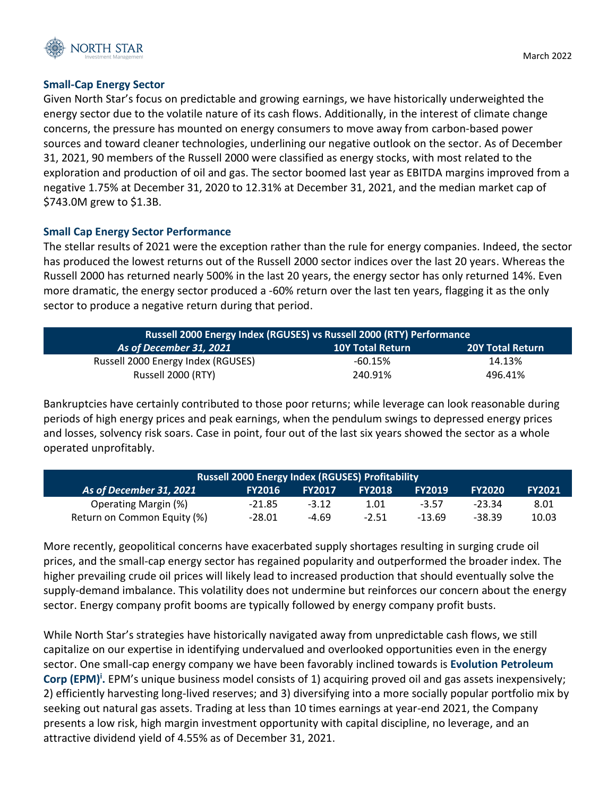

## **Small-Cap Energy Sector**

Given North Star's focus on predictable and growing earnings, we have historically underweighted the energy sector due to the volatile nature of its cash flows. Additionally, in the interest of climate change concerns, the pressure has mounted on energy consumers to move away from carbon-based power sources and toward cleaner technologies, underlining our negative outlook on the sector. As of December 31, 2021, 90 members of the Russell 2000 were classified as energy stocks, with most related to the exploration and production of oil and gas. The sector boomed last year as EBITDA margins improved from a negative 1.75% at December 31, 2020 to 12.31% at December 31, 2021, and the median market cap of \$743.0M grew to \$1.3B.

## **Small Cap Energy Sector Performance**

The stellar results of 2021 were the exception rather than the rule for energy companies. Indeed, the sector has produced the lowest returns out of the Russell 2000 sector indices over the last 20 years. Whereas the Russell 2000 has returned nearly 500% in the last 20 years, the energy sector has only returned 14%. Even more dramatic, the energy sector produced a -60% return over the last ten years, flagging it as the only sector to produce a negative return during that period.

| Russell 2000 Energy Index (RGUSES) vs Russell 2000 (RTY) Performance |                         |                         |  |  |
|----------------------------------------------------------------------|-------------------------|-------------------------|--|--|
| As of December 31, 2021                                              | <b>10Y Total Return</b> | <b>20Y Total Return</b> |  |  |
| Russell 2000 Energy Index (RGUSES)                                   | $-60.15%$               | 14.13%                  |  |  |
| Russell 2000 (RTY)                                                   | 240.91%                 | 496.41%                 |  |  |

Bankruptcies have certainly contributed to those poor returns; while leverage can look reasonable during periods of high energy prices and peak earnings, when the pendulum swings to depressed energy prices and losses, solvency risk soars. Case in point, four out of the last six years showed the sector as a whole operated unprofitably.

| <b>Russell 2000 Energy Index (RGUSES) Profitability</b> |               |               |               |               |               |               |
|---------------------------------------------------------|---------------|---------------|---------------|---------------|---------------|---------------|
| As of December 31, 2021                                 | <b>FY2016</b> | <b>FY2017</b> | <b>FY2018</b> | <b>FY2019</b> | <b>FY2020</b> | <b>FY2021</b> |
| Operating Margin (%)                                    | $-21.85$      | $-3.12$       | 1.01          | $-3.57$       | $-23.34$      | 8.01          |
| Return on Common Equity (%)                             | -28.01        | -4.69         | $-2.51$       | $-13.69$      | $-38.39$      | 10.03         |

More recently, geopolitical concerns have exacerbated supply shortages resulting in surging crude oil prices, and the small-cap energy sector has regained popularity and outperformed the broader index. The higher prevailing crude oil prices will likely lead to increased production that should eventually solve the supply-demand imbalance. This volatility does not undermine but reinforces our concern about the energy sector. Energy company profit booms are typically followed by energy company profit busts.

While North Star's strategies have historically navigated away from unpredictable cash flows, we still capitalize on our expertise in identifying undervalued and overlooked opportunities even in the energy sector. One small-cap energy company we have been favorably inclined towards is **Evolution Petroleum**  Corp (EPM)<sup>i</sup>. EPM's unique business model consists of 1) acquiring proved oil and gas assets inexpensively; 2) efficiently harvesting long-lived reserves; and 3) diversifying into a more socially popular portfolio mix by seeking out natural gas assets. Trading at less than 10 times earnings at year-end 2021, the Company presents a low risk, high margin investment opportunity with capital discipline, no leverage, and an attractive dividend yield of 4.55% as of December 31, 2021.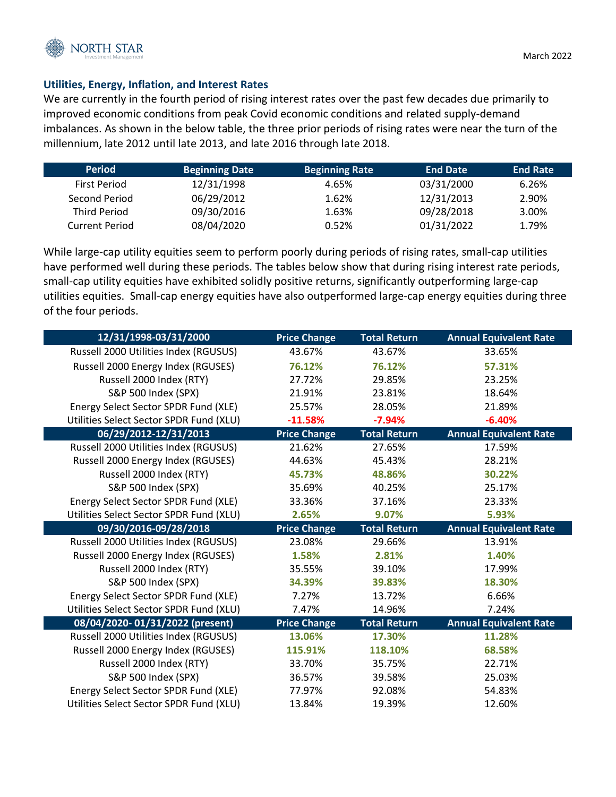

## **Utilities, Energy, Inflation, and Interest Rates**

We are currently in the fourth period of rising interest rates over the past few decades due primarily to improved economic conditions from peak Covid economic conditions and related supply-demand imbalances. As shown in the below table, the three prior periods of rising rates were near the turn of the millennium, late 2012 until late 2013, and late 2016 through late 2018.

| <b>Period</b>         | <b>Beginning Date</b> | <b>Beginning Rate</b> | <b>End Date</b> | <b>End Rate</b> |
|-----------------------|-----------------------|-----------------------|-----------------|-----------------|
| First Period          | 12/31/1998            | 4.65%                 | 03/31/2000      | 6.26%           |
| Second Period         | 06/29/2012            | 1.62%                 | 12/31/2013      | 2.90%           |
| Third Period          | 09/30/2016            | 1.63%                 | 09/28/2018      | 3.00%           |
| <b>Current Period</b> | 08/04/2020            | 0.52%                 | 01/31/2022      | 1.79%           |

While large-cap utility equities seem to perform poorly during periods of rising rates, small-cap utilities have performed well during these periods. The tables below show that during rising interest rate periods, small-cap utility equities have exhibited solidly positive returns, significantly outperforming large-cap utilities equities. Small-cap energy equities have also outperformed large-cap energy equities during three of the four periods.

| 12/31/1998-03/31/2000                   | <b>Price Change</b> | <b>Total Return</b> | <b>Annual Equivalent Rate</b> |
|-----------------------------------------|---------------------|---------------------|-------------------------------|
| Russell 2000 Utilities Index (RGUSUS)   | 43.67%              | 43.67%              | 33.65%                        |
| Russell 2000 Energy Index (RGUSES)      | 76.12%              | 76.12%              | 57.31%                        |
| Russell 2000 Index (RTY)                | 27.72%              | 29.85%              | 23.25%                        |
| S&P 500 Index (SPX)                     | 21.91%              | 23.81%              | 18.64%                        |
| Energy Select Sector SPDR Fund (XLE)    | 25.57%              | 28.05%              | 21.89%                        |
| Utilities Select Sector SPDR Fund (XLU) | $-11.58%$           | $-7.94%$            | $-6.40%$                      |
| 06/29/2012-12/31/2013                   | <b>Price Change</b> | <b>Total Return</b> | <b>Annual Equivalent Rate</b> |
| Russell 2000 Utilities Index (RGUSUS)   | 21.62%              | 27.65%              | 17.59%                        |
| Russell 2000 Energy Index (RGUSES)      | 44.63%              | 45.43%              | 28.21%                        |
| Russell 2000 Index (RTY)                | 45.73%              | 48.86%              | 30.22%                        |
| S&P 500 Index (SPX)                     | 35.69%              | 40.25%              | 25.17%                        |
| Energy Select Sector SPDR Fund (XLE)    | 33.36%              | 37.16%              | 23.33%                        |
| Utilities Select Sector SPDR Fund (XLU) | 2.65%               | 9.07%               | 5.93%                         |
| 09/30/2016-09/28/2018                   | <b>Price Change</b> | <b>Total Return</b> | <b>Annual Equivalent Rate</b> |
|                                         |                     |                     |                               |
| Russell 2000 Utilities Index (RGUSUS)   | 23.08%              | 29.66%              | 13.91%                        |
| Russell 2000 Energy Index (RGUSES)      | 1.58%               | 2.81%               | 1.40%                         |
| Russell 2000 Index (RTY)                | 35.55%              | 39.10%              | 17.99%                        |
| S&P 500 Index (SPX)                     | 34.39%              | 39.83%              | 18.30%                        |
| Energy Select Sector SPDR Fund (XLE)    | 7.27%               | 13.72%              | 6.66%                         |
| Utilities Select Sector SPDR Fund (XLU) | 7.47%               | 14.96%              | 7.24%                         |
| 08/04/2020-01/31/2022 (present)         | <b>Price Change</b> | <b>Total Return</b> | <b>Annual Equivalent Rate</b> |
| Russell 2000 Utilities Index (RGUSUS)   | 13.06%              | 17.30%              | 11.28%                        |
| Russell 2000 Energy Index (RGUSES)      | 115.91%             | 118.10%             | 68.58%                        |
| Russell 2000 Index (RTY)                | 33.70%              | 35.75%              | 22.71%                        |
| S&P 500 Index (SPX)                     | 36.57%              | 39.58%              | 25.03%                        |
| Energy Select Sector SPDR Fund (XLE)    | 77.97%              | 92.08%              | 54.83%                        |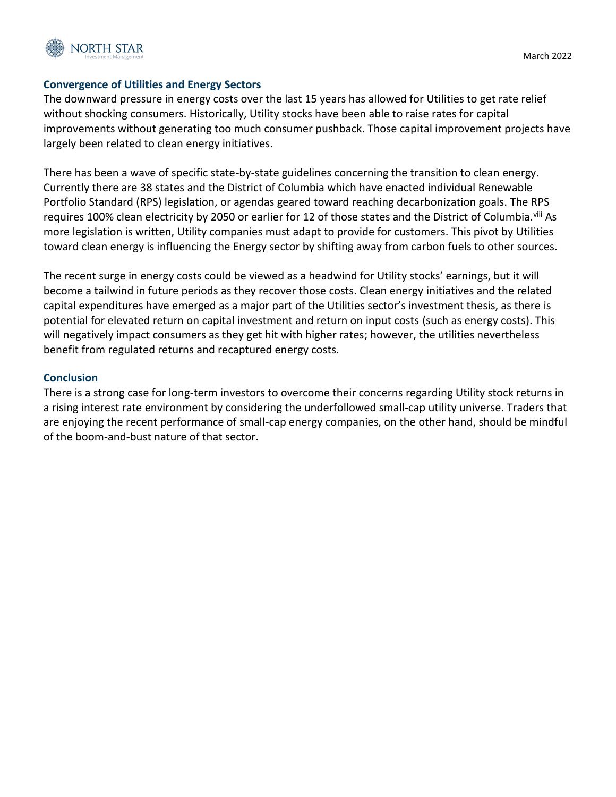

### **Convergence of Utilities and Energy Sectors**

The downward pressure in energy costs over the last 15 years has allowed for Utilities to get rate relief without shocking consumers. Historically, Utility stocks have been able to raise rates for capital improvements without generating too much consumer pushback. Those capital improvement projects have largely been related to clean energy initiatives.

There has been a wave of specific state-by-state guidelines concerning the transition to clean energy. Currently there are 38 states and the District of Columbia which have enacted individual Renewable Portfolio Standard (RPS) legislation, or agendas geared toward reaching decarbonization goals. The RPS requires 100% clean electricity by 2050 or earlier for 12 of those states and the District of Columbia.<sup>viii</sup> As more legislation is written, Utility companies must adapt to provide for customers. This pivot by Utilities toward clean energy is influencing the Energy sector by shifting away from carbon fuels to other sources.

The recent surge in energy costs could be viewed as a headwind for Utility stocks' earnings, but it will become a tailwind in future periods as they recover those costs. Clean energy initiatives and the related capital expenditures have emerged as a major part of the Utilities sector's investment thesis, as there is potential for elevated return on capital investment and return on input costs (such as energy costs). This will negatively impact consumers as they get hit with higher rates; however, the utilities nevertheless benefit from regulated returns and recaptured energy costs.

### **Conclusion**

There is a strong case for long-term investors to overcome their concerns regarding Utility stock returns in a rising interest rate environment by considering the underfollowed small-cap utility universe. Traders that are enjoying the recent performance of small-cap energy companies, on the other hand, should be mindful of the boom-and-bust nature of that sector.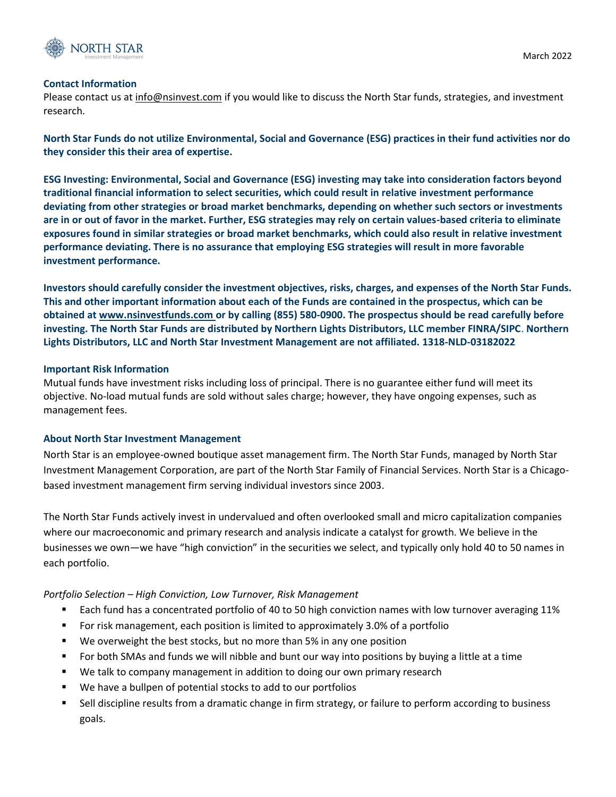

#### **Contact Information**

Please contact us a[t info@nsinvest.com](mailto:info@nsinvest.com) if you would like to discuss the North Star funds, strategies, and investment research.

**North Star Funds do not utilize Environmental, Social and Governance (ESG) practices in their fund activities nor do they consider this their area of expertise.**

**ESG Investing: Environmental, Social and Governance (ESG) investing may take into consideration factors beyond traditional financial information to select securities, which could result in relative investment performance deviating from other strategies or broad market benchmarks, depending on whether such sectors or investments are in or out of favor in the market. Further, ESG strategies may rely on certain values-based criteria to eliminate exposures found in similar strategies or broad market benchmarks, which could also result in relative investment performance deviating. There is no assurance that employing ESG strategies will result in more favorable investment performance.**

**Investors should carefully consider the investment objectives, risks, charges, and expenses of the North Star Funds. This and other important information about each of the Funds are contained in the prospectus, which can be obtained a[t www.nsinvestfunds.com o](http://www.nsinvestfunds.com/)r by calling (855) 580-0900. The prospectus should be read carefully before investing. The North Star Funds are distributed by Northern Lights Distributors, LLC member FINRA/SIPC**. **Northern Lights Distributors, LLC and North Star Investment Management are not affiliated. 1318-NLD-03182022**

#### **Important Risk Information**

Mutual funds have investment risks including loss of principal. There is no guarantee either fund will meet its objective. No-load mutual funds are sold without sales charge; however, they have ongoing expenses, such as management fees.

#### **About North Star Investment Management**

North Star is an employee-owned boutique asset management firm. The North Star Funds, managed by North Star Investment Management Corporation, are part of the North Star Family of Financial Services. North Star is a Chicagobased investment management firm serving individual investors since 2003.

The North Star Funds actively invest in undervalued and often overlooked small and micro capitalization companies where our macroeconomic and primary research and analysis indicate a catalyst for growth. We believe in the businesses we own—we have "high conviction" in the securities we select, and typically only hold 40 to 50 names in each portfolio.

### *Portfolio Selection – High Conviction, Low Turnover, Risk Management*

- Each fund has a concentrated portfolio of 40 to 50 high conviction names with low turnover averaging 11%
- For risk management, each position is limited to approximately 3.0% of a portfolio
- We overweight the best stocks, but no more than 5% in any one position
- For both SMAs and funds we will nibble and bunt our way into positions by buying a little at a time
- We talk to company management in addition to doing our own primary research
- We have a bullpen of potential stocks to add to our portfolios
- Sell discipline results from a dramatic change in firm strategy, or failure to perform according to business goals.